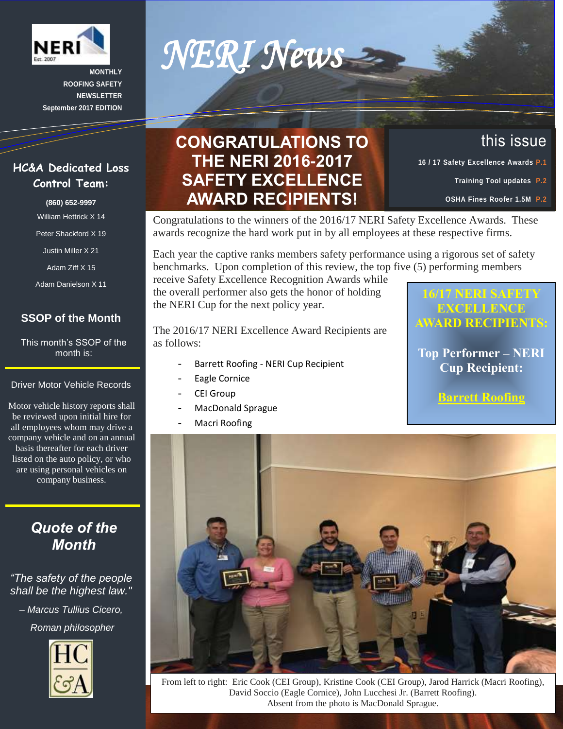

**MONTHLY ROOFING SAFETY NEWSLETTER September 2017 EDITION**

Í

## **CONGRATULATIONS TO THE NERI 2016-2017 SAFETY EXCELLENCE AWARD RECIPIENTS!**

*NERI News* 

Congratulations to the winners of the 2016/17 NERI Safety Excellence Awards. These awards recognize the hard work put in by all employees at these respective firms.

Each year the captive ranks members safety performance using a rigorous set of safety benchmarks. Upon completion of this review, the top five (5) performing members

receive Safety Excellence Recognition Awards while the overall performer also gets the honor of holding the NERI Cup for the next policy year.

The 2016/17 NERI Excellence Award Recipients are as follows:

- Barrett Roofing NERI Cup Recipient
- Eagle Cornice
- CEI Group
- MacDonald Sprague
- Macri Roofing

## **16/17 NERI SAFETY EXCELLENCE AWARD RECIPIENTS:**

 **16 / 17 Safety Excellence Awards P.1**

this issue

**Training Tool updates P.2 OSHA Fines Roofer 1.5M P.2**

**Top Performer – NERI Cup Recipient:**

**Barrett Roofing**



From left to right: Eric Cook (CEI Group), Kristine Cook (CEI Group), Jarod Harrick (Macri Roofing), David Soccio (Eagle Cornice), John Lucchesi Jr. (Barrett Roofing). Absent from the photo is MacDonald Sprague.

### **HC&A Dedicated Loss Control Team:**

**(860) 652-9997**

William Hettrick X 14

Peter Shackford X 19

Justin Miller X 21

Adam Ziff X 15

Adam Danielson X 11

### **SSOP of the Month**

This month's SSOP of the month is:

#### Driver Motor Vehicle Records

- company vehicle and on an annual Motor vehicle history reports shall be reviewed upon initial hire for all employees whom may drive a basis thereafter for each driver listed on the auto policy, or who are using personal vehicles on company business.

## *Quote of the Month*

#### *"The safety of the people shall be the highest law."*

*– Marcus Tullius Cicero, Roman philosopher*